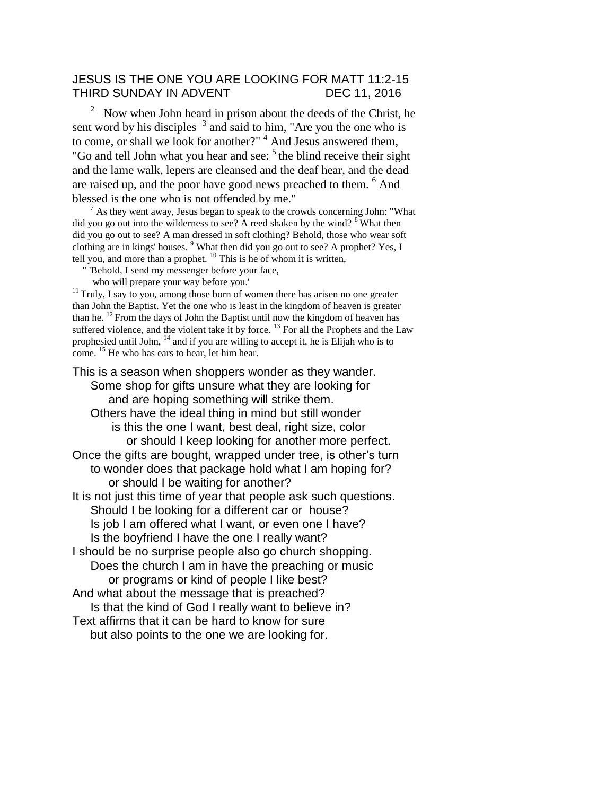#### JESUS IS THE ONE YOU ARE LOOKING FOR MATT 11:2-15 THIRD SUNDAY IN ADVENT DEC 11, 2016

2 Now when John heard in prison about the deeds of the Christ, he sent word by his disciples  $3$  and said to him, "Are you the one who is to come, or shall we look for another?"<sup>4</sup> And Jesus answered them, "Go and tell John what you hear and see:  $5$  the blind receive their sight and the lame walk, lepers are cleansed and the deaf hear, and the dead are raised up, and the poor have good news preached to them. <sup>6</sup> And blessed is the one who is not offended by me."

 $<sup>7</sup>$  As they went away, Jesus began to speak to the crowds concerning John: "What</sup> did you go out into the wilderness to see? A reed shaken by the wind?  $8$  What then did you go out to see? A man dressed in soft clothing? Behold, those who wear soft clothing are in kings' houses.  $9$  What then did you go out to see? A prophet? Yes, I tell you, and more than a prophet.  $^{10}$  This is he of whom it is written,

" 'Behold, I send my messenger before your face,

who will prepare your way before you.'

 $11$ Truly, I say to you, among those born of women there has arisen no one greater than John the Baptist. Yet the one who is least in the kingdom of heaven is greater than he.  $^{12}$  From the days of John the Baptist until now the kingdom of heaven has suffered violence, and the violent take it by force.  $^{13}$  For all the Prophets and the Law prophesied until John,  $^{14}$  and if you are willing to accept it, he is Elijah who is to come. <sup>15</sup> He who has ears to hear, let him hear.

This is a season when shoppers wonder as they wander. Some shop for gifts unsure what they are looking for and are hoping something will strike them. Others have the ideal thing in mind but still wonder is this the one I want, best deal, right size, color or should I keep looking for another more perfect. Once the gifts are bought, wrapped under tree, is other's turn to wonder does that package hold what I am hoping for? or should I be waiting for another? It is not just this time of year that people ask such questions. Should I be looking for a different car or house? Is job I am offered what I want, or even one I have? Is the boyfriend I have the one I really want? I should be no surprise people also go church shopping. Does the church I am in have the preaching or music or programs or kind of people I like best? And what about the message that is preached? Is that the kind of God I really want to believe in? Text affirms that it can be hard to know for sure but also points to the one we are looking for.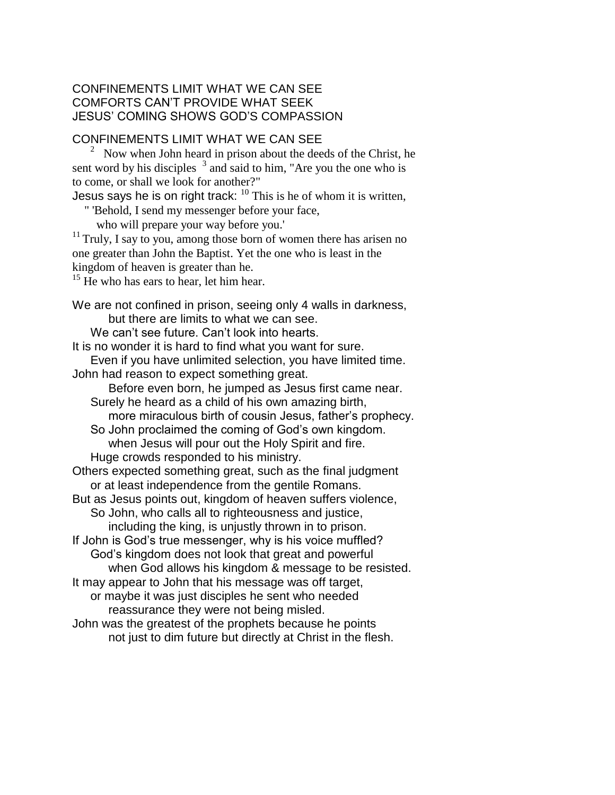#### CONFINEMENTS LIMIT WHAT WE CAN SEE COMFORTS CAN'T PROVIDE WHAT SEEK JESUS' COMING SHOWS GOD'S COMPASSION

### CONFINEMENTS LIMIT WHAT WE CAN SEE

 $2^{\circ}$  Now when John heard in prison about the deeds of the Christ, he sent word by his disciples  $3$  and said to him, "Are you the one who is to come, or shall we look for another?"

Jesus says he is on right track:  $^{10}$  This is he of whom it is written,

" 'Behold, I send my messenger before your face,

who will prepare your way before you.'

 $11$  Truly, I say to you, among those born of women there has arisen no one greater than John the Baptist. Yet the one who is least in the kingdom of heaven is greater than he.

 $15$  He who has ears to hear, let him hear.

We are not confined in prison, seeing only 4 walls in darkness, but there are limits to what we can see.

We can't see future. Can't look into hearts.

It is no wonder it is hard to find what you want for sure.

Even if you have unlimited selection, you have limited time. John had reason to expect something great.

Before even born, he jumped as Jesus first came near. Surely he heard as a child of his own amazing birth, more miraculous birth of cousin Jesus, father's prophecy.

So John proclaimed the coming of God's own kingdom. when Jesus will pour out the Holy Spirit and fire. Huge crowds responded to his ministry.

Others expected something great, such as the final judgment or at least independence from the gentile Romans.

But as Jesus points out, kingdom of heaven suffers violence,

So John, who calls all to righteousness and justice, including the king, is unjustly thrown in to prison.

If John is God's true messenger, why is his voice muffled? God's kingdom does not look that great and powerful when God allows his kingdom & message to be resisted.

It may appear to John that his message was off target, or maybe it was just disciples he sent who needed reassurance they were not being misled.

John was the greatest of the prophets because he points not just to dim future but directly at Christ in the flesh.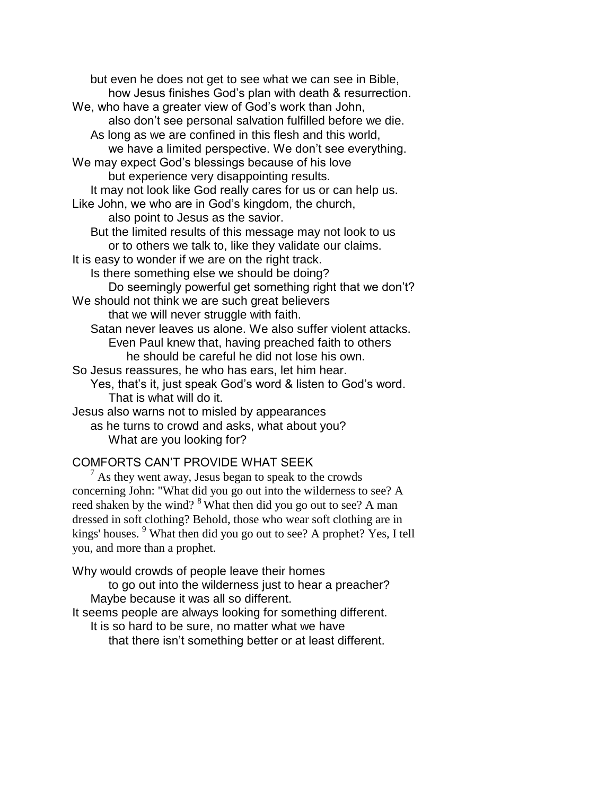but even he does not get to see what we can see in Bible, how Jesus finishes God's plan with death & resurrection. We, who have a greater view of God's work than John, also don't see personal salvation fulfilled before we die. As long as we are confined in this flesh and this world, we have a limited perspective. We don't see everything. We may expect God's blessings because of his love but experience very disappointing results. It may not look like God really cares for us or can help us. Like John, we who are in God's kingdom, the church, also point to Jesus as the savior. But the limited results of this message may not look to us or to others we talk to, like they validate our claims. It is easy to wonder if we are on the right track. Is there something else we should be doing? Do seemingly powerful get something right that we don't? We should not think we are such great believers that we will never struggle with faith. Satan never leaves us alone. We also suffer violent attacks. Even Paul knew that, having preached faith to others he should be careful he did not lose his own. So Jesus reassures, he who has ears, let him hear. Yes, that's it, just speak God's word & listen to God's word. That is what will do it. Jesus also warns not to misled by appearances as he turns to crowd and asks, what about you?

## What are you looking for?

### COMFORTS CAN'T PROVIDE WHAT SEEK

As they went away, Jesus began to speak to the crowds concerning John: "What did you go out into the wilderness to see? A reed shaken by the wind? <sup>8</sup> What then did you go out to see? A man dressed in soft clothing? Behold, those who wear soft clothing are in kings' houses. <sup>9</sup> What then did you go out to see? A prophet? Yes, I tell you, and more than a prophet.

Why would crowds of people leave their homes

to go out into the wilderness just to hear a preacher? Maybe because it was all so different.

It seems people are always looking for something different.

It is so hard to be sure, no matter what we have

that there isn't something better or at least different.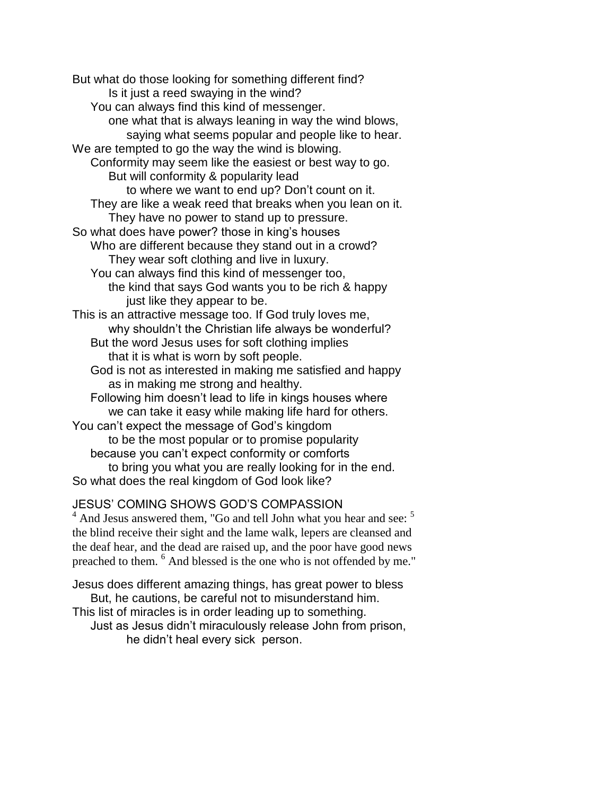But what do those looking for something different find? Is it just a reed swaying in the wind? You can always find this kind of messenger. one what that is always leaning in way the wind blows, saying what seems popular and people like to hear. We are tempted to go the way the wind is blowing. Conformity may seem like the easiest or best way to go. But will conformity & popularity lead to where we want to end up? Don't count on it. They are like a weak reed that breaks when you lean on it. They have no power to stand up to pressure. So what does have power? those in king's houses Who are different because they stand out in a crowd? They wear soft clothing and live in luxury. You can always find this kind of messenger too, the kind that says God wants you to be rich & happy just like they appear to be. This is an attractive message too. If God truly loves me, why shouldn't the Christian life always be wonderful? But the word Jesus uses for soft clothing implies that it is what is worn by soft people. God is not as interested in making me satisfied and happy as in making me strong and healthy. Following him doesn't lead to life in kings houses where we can take it easy while making life hard for others. You can't expect the message of God's kingdom to be the most popular or to promise popularity because you can't expect conformity or comforts to bring you what you are really looking for in the end. So what does the real kingdom of God look like?

# JESUS' COMING SHOWS GOD'S COMPASSION

 $<sup>4</sup>$  And Jesus answered them, "Go and tell John what you hear and see:  $<sup>5</sup>$ </sup></sup> the blind receive their sight and the lame walk, lepers are cleansed and the deaf hear, and the dead are raised up, and the poor have good news preached to them. <sup>6</sup> And blessed is the one who is not offended by me."

Jesus does different amazing things, has great power to bless But, he cautions, be careful not to misunderstand him. This list of miracles is in order leading up to something. Just as Jesus didn't miraculously release John from prison,

he didn't heal every sick person.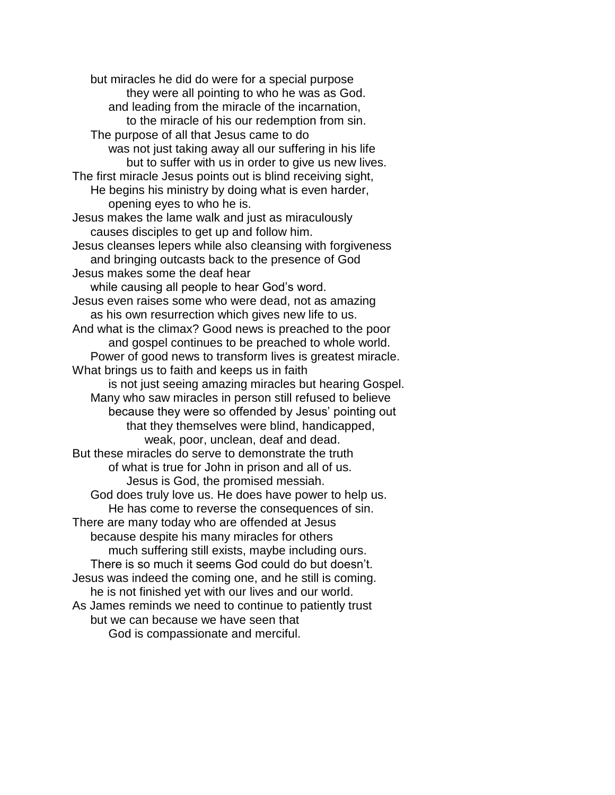but miracles he did do were for a special purpose they were all pointing to who he was as God. and leading from the miracle of the incarnation, to the miracle of his our redemption from sin. The purpose of all that Jesus came to do was not just taking away all our suffering in his life but to suffer with us in order to give us new lives. The first miracle Jesus points out is blind receiving sight, He begins his ministry by doing what is even harder, opening eyes to who he is. Jesus makes the lame walk and just as miraculously causes disciples to get up and follow him. Jesus cleanses lepers while also cleansing with forgiveness and bringing outcasts back to the presence of God Jesus makes some the deaf hear while causing all people to hear God's word. Jesus even raises some who were dead, not as amazing as his own resurrection which gives new life to us. And what is the climax? Good news is preached to the poor and gospel continues to be preached to whole world. Power of good news to transform lives is greatest miracle. What brings us to faith and keeps us in faith is not just seeing amazing miracles but hearing Gospel. Many who saw miracles in person still refused to believe because they were so offended by Jesus' pointing out that they themselves were blind, handicapped, weak, poor, unclean, deaf and dead. But these miracles do serve to demonstrate the truth of what is true for John in prison and all of us. Jesus is God, the promised messiah. God does truly love us. He does have power to help us. He has come to reverse the consequences of sin. There are many today who are offended at Jesus because despite his many miracles for others much suffering still exists, maybe including ours. There is so much it seems God could do but doesn't. Jesus was indeed the coming one, and he still is coming. he is not finished yet with our lives and our world. As James reminds we need to continue to patiently trust but we can because we have seen that God is compassionate and merciful.